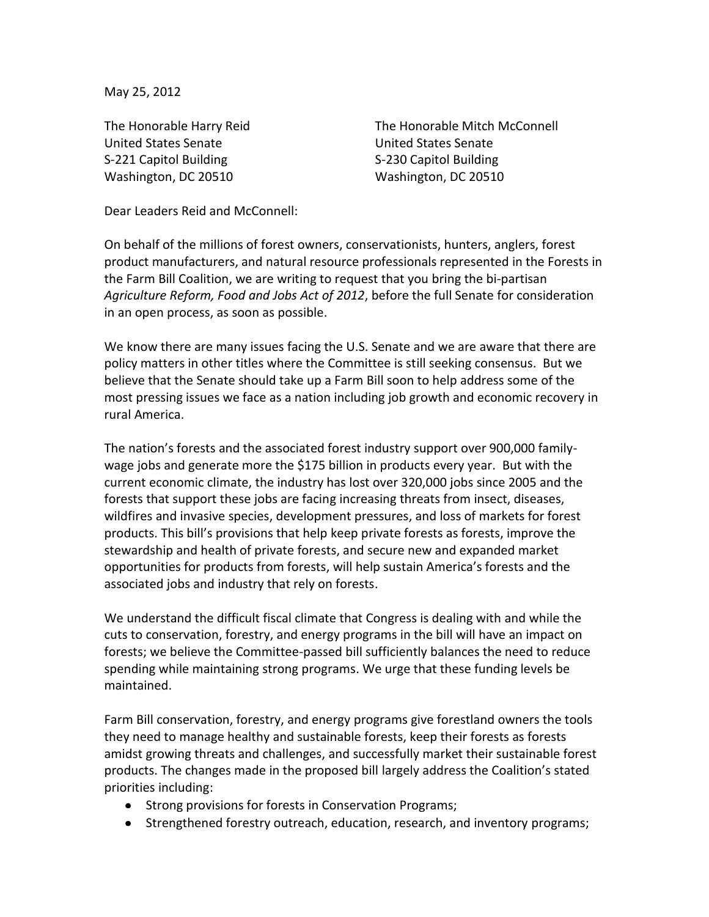May 25, 2012

The Honorable Harry Reid United States Senate S-221 Capitol Building Washington, DC 20510

The Honorable Mitch McConnell United States Senate S-230 Capitol Building Washington, DC 20510

Dear Leaders Reid and McConnell:

On behalf of the millions of forest owners, conservationists, hunters, anglers, forest product manufacturers, and natural resource professionals represented in the Forests in the Farm Bill Coalition, we are writing to request that you bring the bi-partisan *Agriculture Reform, Food and Jobs Act of 2012*, before the full Senate for consideration in an open process, as soon as possible.

We know there are many issues facing the U.S. Senate and we are aware that there are policy matters in other titles where the Committee is still seeking consensus. But we believe that the Senate should take up a Farm Bill soon to help address some of the most pressing issues we face as a nation including job growth and economic recovery in rural America.

The nation's forests and the associated forest industry support over 900,000 familywage jobs and generate more the \$175 billion in products every year. But with the current economic climate, the industry has lost over 320,000 jobs since 2005 and the forests that support these jobs are facing increasing threats from insect, diseases, wildfires and invasive species, development pressures, and loss of markets for forest products. This bill's provisions that help keep private forests as forests, improve the stewardship and health of private forests, and secure new and expanded market opportunities for products from forests, will help sustain America's forests and the associated jobs and industry that rely on forests.

We understand the difficult fiscal climate that Congress is dealing with and while the cuts to conservation, forestry, and energy programs in the bill will have an impact on forests; we believe the Committee-passed bill sufficiently balances the need to reduce spending while maintaining strong programs. We urge that these funding levels be maintained.

Farm Bill conservation, forestry, and energy programs give forestland owners the tools they need to manage healthy and sustainable forests, keep their forests as forests amidst growing threats and challenges, and successfully market their sustainable forest products. The changes made in the proposed bill largely address the Coalition's stated priorities including:

- Strong provisions for forests in Conservation Programs;
- Strengthened forestry outreach, education, research, and inventory programs;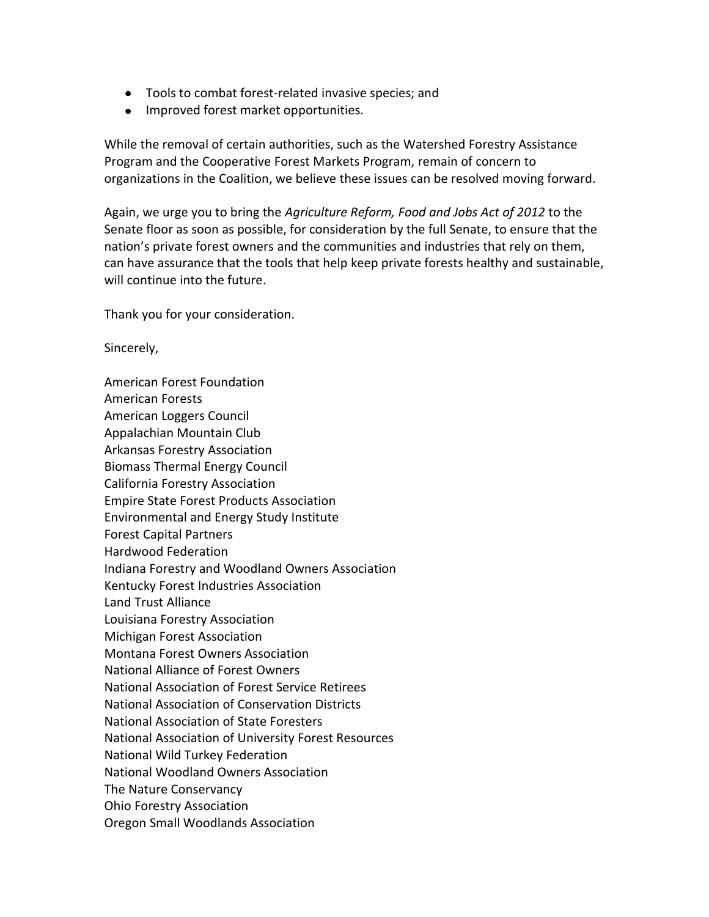- Tools to combat forest-related invasive species; and
- Improved forest market opportunities.

While the removal of certain authorities, such as the Watershed Forestry Assistance Program and the Cooperative Forest Markets Program, remain of concern to organizations in the Coalition, we believe these issues can be resolved moving forward.

Again, we urge you to bring the *Agriculture Reform, Food and Jobs Act of 2012* to the Senate floor as soon as possible, for consideration by the full Senate, to ensure that the nation's private forest owners and the communities and industries that rely on them, can have assurance that the tools that help keep private forests healthy and sustainable, will continue into the future.

Thank you for your consideration.

Sincerely,

American Forest Foundation American Forests American Loggers Council Appalachian Mountain Club Arkansas Forestry Association Biomass Thermal Energy Council California Forestry Association Empire State Forest Products Association Environmental and Energy Study Institute Forest Capital Partners Hardwood Federation Indiana Forestry and Woodland Owners Association Kentucky Forest Industries Association Land Trust Alliance Louisiana Forestry Association Michigan Forest Association Montana Forest Owners Association National Alliance of Forest Owners National Association of Forest Service Retirees National Association of Conservation Districts National Association of State Foresters National Association of University Forest Resources National Wild Turkey Federation National Woodland Owners Association The Nature Conservancy Ohio Forestry Association Oregon Small Woodlands Association